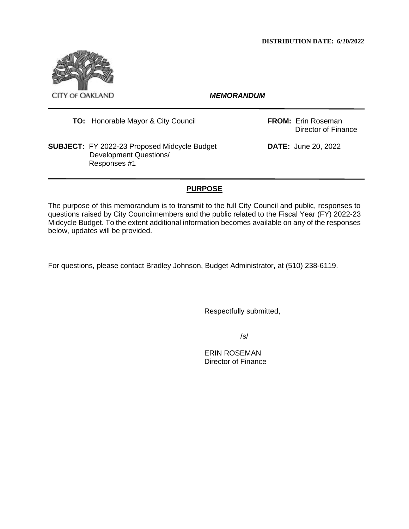

**TO:** Honorable Mayor & City Council **FROM:** Erin Roseman

**SUBJECT:** FY 2022-23 Proposed Midcycle Budget **DATE:** June 20, 2022 Development Questions/ Responses #1

Director of Finance

# **PURPOSE**

The purpose of this memorandum is to transmit to the full City Council and public, responses to questions raised by City Councilmembers and the public related to the Fiscal Year (FY) 2022-23 Midcycle Budget. To the extent additional information becomes available on any of the responses below, updates will be provided.

For questions, please contact Bradley Johnson, Budget Administrator, at (510) 238-6119.

Respectfully submitted,

/s/

ERIN ROSEMAN Director of Finance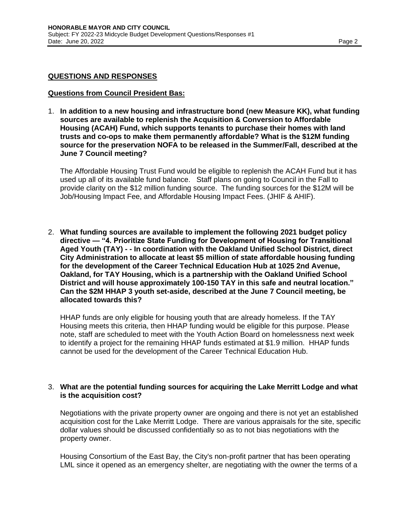#### **QUESTIONS AND RESPONSES**

#### **Questions from Council President Bas:**

1. **In addition to a new housing and infrastructure bond (new Measure KK), what funding sources are available to replenish the Acquisition & Conversion to Affordable Housing (ACAH) Fund, which supports tenants to purchase their homes with land trusts and co-ops to make them permanently affordable? What is the \$12M funding source for the preservation NOFA to be released in the Summer/Fall, described at the June 7 Council meeting?**

The Affordable Housing Trust Fund would be eligible to replenish the ACAH Fund but it has used up all of its available fund balance. Staff plans on going to Council in the Fall to provide clarity on the \$12 million funding source. The funding sources for the \$12M will be Job/Housing Impact Fee, and Affordable Housing Impact Fees. (JHIF & AHIF).

2. **What funding sources are available to implement the following 2021 budget policy directive — "4. Prioritize State Funding for Development of Housing for Transitional Aged Youth (TAY) - - In coordination with the Oakland Unified School District, direct City Administration to allocate at least \$5 million of state affordable housing funding for the development of the Career Technical Education Hub at 1025 2nd Avenue, Oakland, for TAY Housing, which is a partnership with the Oakland Unified School District and will house approximately 100-150 TAY in this safe and neutral location." Can the \$2M HHAP 3 youth set-aside, described at the June 7 Council meeting, be allocated towards this?**

HHAP funds are only eligible for housing youth that are already homeless. If the TAY Housing meets this criteria, then HHAP funding would be eligible for this purpose. Please note, staff are scheduled to meet with the Youth Action Board on homelessness next week to identify a project for the remaining HHAP funds estimated at \$1.9 million. HHAP funds cannot be used for the development of the Career Technical Education Hub.

#### 3. **What are the potential funding sources for acquiring the Lake Merritt Lodge and what is the acquisition cost?**

Negotiations with the private property owner are ongoing and there is not yet an established acquisition cost for the Lake Merritt Lodge. There are various appraisals for the site, specific dollar values should be discussed confidentially so as to not bias negotiations with the property owner.

Housing Consortium of the East Bay, the City's non-profit partner that has been operating LML since it opened as an emergency shelter, are negotiating with the owner the terms of a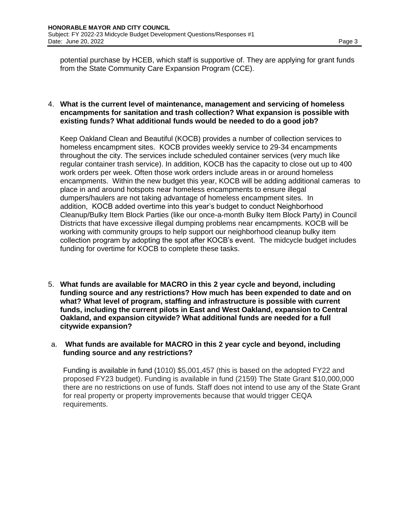potential purchase by HCEB, which staff is supportive of. They are applying for grant funds from the State Community Care Expansion Program (CCE).

#### 4. **What is the current level of maintenance, management and servicing of homeless encampments for sanitation and trash collection? What expansion is possible with existing funds? What additional funds would be needed to do a good job?**

Keep Oakland Clean and Beautiful (KOCB) provides a number of collection services to homeless encampment sites. KOCB provides weekly service to 29-34 encampments throughout the city. The services include scheduled container services (very much like regular container trash service). In addition, KOCB has the capacity to close out up to 400 work orders per week. Often those work orders include areas in or around homeless encampments. Within the new budget this year, KOCB will be adding additional cameras to place in and around hotspots near homeless encampments to ensure illegal dumpers/haulers are not taking advantage of homeless encampment sites. In addition, KOCB added overtime into this year's budget to conduct Neighborhood Cleanup/Bulky Item Block Parties (like our once-a-month Bulky Item Block Party) in Council Districts that have excessive illegal dumping problems near encampments. KOCB will be working with community groups to help support our neighborhood cleanup bulky item collection program by adopting the spot after KOCB's event. The midcycle budget includes funding for overtime for KOCB to complete these tasks.

5. **What funds are available for MACRO in this 2 year cycle and beyond, including funding source and any restrictions? How much has been expended to date and on what? What level of program, staffing and infrastructure is possible with current funds, including the current pilots in East and West Oakland, expansion to Central Oakland, and expansion citywide? What additional funds are needed for a full citywide expansion?**

#### a. **What funds are available for MACRO in this 2 year cycle and beyond, including funding source and any restrictions?**

Funding is available in fund (1010) \$5,001,457 (this is based on the adopted FY22 and proposed FY23 budget). Funding is available in fund (2159) The State Grant \$10,000,000 there are no restrictions on use of funds. Staff does not intend to use any of the State Grant for real property or property improvements because that would trigger CEQA requirements.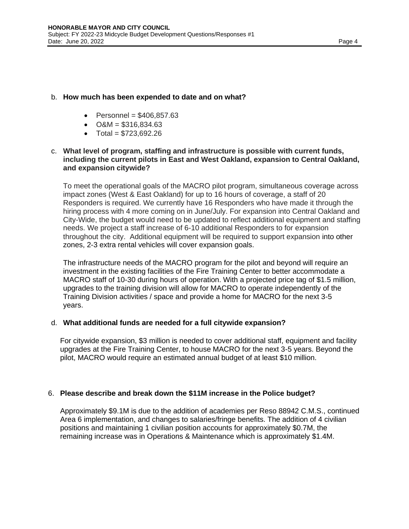## b. **How much has been expended to date and on what?**

- Personnel =  $$406,857.63$
- $O&M = $316,834.63$
- Total =  $$723.692.26$

## c. **What level of program, staffing and infrastructure is possible with current funds, including the current pilots in East and West Oakland, expansion to Central Oakland, and expansion citywide?**

To meet the operational goals of the MACRO pilot program, simultaneous coverage across impact zones (West & East Oakland) for up to 16 hours of coverage, a staff of 20 Responders is required. We currently have 16 Responders who have made it through the hiring process with 4 more coming on in June/July. For expansion into Central Oakland and City-Wide, the budget would need to be updated to reflect additional equipment and staffing needs. We project a staff increase of 6-10 additional Responders to for expansion throughout the city. Additional equipment will be required to support expansion into other zones, 2-3 extra rental vehicles will cover expansion goals.

The infrastructure needs of the MACRO program for the pilot and beyond will require an investment in the existing facilities of the Fire Training Center to better accommodate a MACRO staff of 10-30 during hours of operation. With a projected price tag of \$1.5 million, upgrades to the training division will allow for MACRO to operate independently of the Training Division activities / space and provide a home for MACRO for the next 3-5 years.

## d. **What additional funds are needed for a full citywide expansion?**

For citywide expansion, \$3 million is needed to cover additional staff, equipment and facility upgrades at the Fire Training Center, to house MACRO for the next 3-5 years. Beyond the pilot, MACRO would require an estimated annual budget of at least \$10 million.

## 6. **Please describe and break down the \$11M increase in the Police budget?**

Approximately \$9.1M is due to the addition of academies per Reso 88942 C.M.S., continued Area 6 implementation, and changes to salaries/fringe benefits. The addition of 4 civilian positions and maintaining 1 civilian position accounts for approximately \$0.7M, the remaining increase was in Operations & Maintenance which is approximately \$1.4M.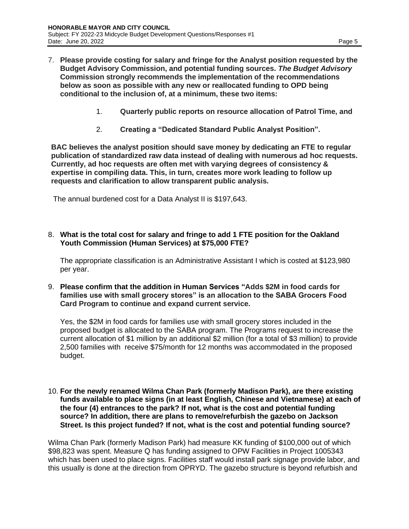- 7. **Please provide costing for salary and fringe for the Analyst position requested by the Budget Advisory Commission, and potential funding sources.** *The Budget Advisory*  **Commission strongly recommends the implementation of the recommendations below as soon as possible with any new or reallocated funding to OPD being conditional to the inclusion of, at a minimum, these two items:**
	- 1. **Quarterly public reports on resource allocation of Patrol Time, and**
	- 2. **Creating a "Dedicated Standard Public Analyst Position".**

**BAC believes the analyst position should save money by dedicating an FTE to regular publication of standardized raw data instead of dealing with numerous ad hoc requests. Currently, ad hoc requests are often met with varying degrees of consistency & expertise in compiling data. This, in turn, creates more work leading to follow up requests and clarification to allow transparent public analysis.**

The annual burdened cost for a Data Analyst II is \$197,643.

#### 8. **What is the total cost for salary and fringe to add 1 FTE position for the Oakland Youth Commission (Human Services) at \$75,000 FTE?**

The appropriate classification is an Administrative Assistant I which is costed at \$123,980 per year.

9. **Please confirm that the addition in Human Services "Adds \$2M in food cards for families use with small grocery stores" is an allocation to the SABA Grocers Food Card Program to continue and expand current service.**

Yes, the \$2M in food cards for families use with small grocery stores included in the proposed budget is allocated to the SABA program. The Programs request to increase the current allocation of \$1 million by an additional \$2 million (for a total of \$3 million) to provide 2,500 families with receive \$75/month for 12 months was accommodated in the proposed budget.

10. **For the newly renamed Wilma Chan Park (formerly Madison Park), are there existing funds available to place signs (in at least English, Chinese and Vietnamese) at each of the four (4) entrances to the park? If not, what is the cost and potential funding source? In addition, there are plans to remove/refurbish the gazebo on Jackson Street. Is this project funded? If not, what is the cost and potential funding source?**

Wilma Chan Park (formerly Madison Park) had measure KK funding of \$100,000 out of which \$98,823 was spent. Measure Q has funding assigned to OPW Facilities in Project 1005343 which has been used to place signs. Facilities staff would install park signage provide labor, and this usually is done at the direction from OPRYD. The gazebo structure is beyond refurbish and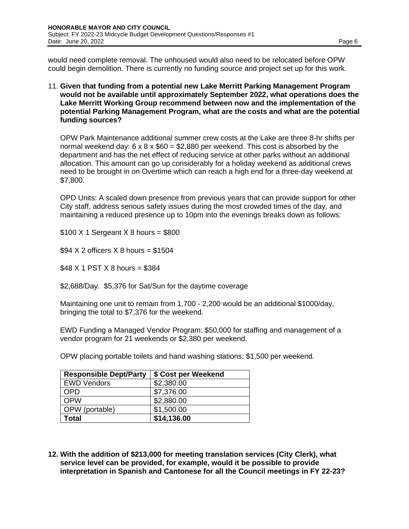would need complete removal. The unhoused would also need to be relocated before OPW could begin demolition. There is currently no funding source and project set up for this work.

11. **Given that funding from a potential new Lake Merritt Parking Management Program would not be available until approximately September 2022, what operations does the Lake Merritt Working Group recommend between now and the implementation of the potential Parking Management Program, what are the costs and what are the potential funding sources?**

OPW Park Maintenance additional summer crew costs at the Lake are three 8-hr shifts per normal weekend day:  $6 \times 8 \times $60 = $2,880$  per weekend. This cost is absorbed by the department and has the net effect of reducing service at other parks without an additional allocation. This amount can go up considerably for a holiday weekend as additional crews need to be brought in on Overtime which can reach a high end for a three-day weekend at \$7,800.

OPD Units: A scaled down presence from previous years that can provide support for other City staff, address serious safety issues during the most crowded times of the day, and maintaining a reduced presence up to 10pm into the evenings breaks down as follows:

 $$100$  X 1 Sergeant X 8 hours =  $$800$ 

 $$94 X 2$  officers X 8 hours = \$1504

 $$48 X 1$  PST X 8 hours = \$384

\$2,688/Day. \$5,376 for Sat/Sun for the daytime coverage

Maintaining one unit to remain from 1,700 - 2,200 would be an additional \$1000/day, bringing the total to \$7,376 for the weekend.

EWD Funding a Managed Vendor Program: \$50,000 for staffing and management of a vendor program for 21 weekends or \$2,380 per weekend.

OPW placing portable toilets and hand washing stations: \$1,500 per weekend.

| <b>Responsible Dept/Party</b> | \$ Cost per Weekend |
|-------------------------------|---------------------|
| <b>EWD Vendors</b>            | \$2,380.00          |
| OPD                           | \$7,376.00          |
| <b>OPW</b>                    | \$2,880.00          |
| OPW (portable)                | \$1,500.00          |
| Total                         | \$14,136.00         |

**12. With the addition of \$213,000 for meeting translation services (City Clerk), what service level can be provided, for example, would it be possible to provide interpretation in Spanish and Cantonese for all the Council meetings in FY 22-23?**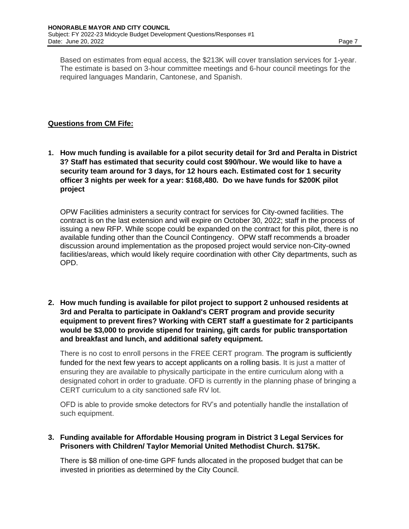Based on estimates from equal access, the \$213K will cover translation services for 1-year. The estimate is based on 3-hour committee meetings and 6-hour council meetings for the required languages Mandarin, Cantonese, and Spanish.

## **Questions from CM Fife:**

**1. How much funding is available for a pilot security detail for 3rd and Peralta in District 3? Staff has estimated that security could cost \$90/hour. We would like to have a security team around for 3 days, for 12 hours each. Estimated cost for 1 security officer 3 nights per week for a year: \$168,480. Do we have funds for \$200K pilot project**

OPW Facilities administers a security contract for services for City-owned facilities. The contract is on the last extension and will expire on October 30, 2022; staff in the process of issuing a new RFP. While scope could be expanded on the contract for this pilot, there is no available funding other than the Council Contingency. OPW staff recommends a broader discussion around implementation as the proposed project would service non-City-owned facilities/areas, which would likely require coordination with other City departments, such as OPD.

**2. How much funding is available for pilot project to support 2 unhoused residents at 3rd and Peralta to participate in Oakland's CERT program and provide security equipment to prevent fires? Working with CERT staff a guestimate for 2 participants would be \$3,000 to provide stipend for training, gift cards for public transportation and breakfast and lunch, and additional safety equipment.** 

There is no cost to enroll persons in the FREE CERT program. The program is sufficiently funded for the next few years to accept applicants on a rolling basis. It is just a matter of ensuring they are available to physically participate in the entire curriculum along with a designated cohort in order to graduate. OFD is currently in the planning phase of bringing a CERT curriculum to a city sanctioned safe RV lot.

OFD is able to provide smoke detectors for RV's and potentially handle the installation of such equipment.

## **3. Funding available for Affordable Housing program in District 3 Legal Services for Prisoners with Children/ Taylor Memorial United Methodist Church. \$175K.**

There is \$8 million of one-time GPF funds allocated in the proposed budget that can be invested in priorities as determined by the City Council.